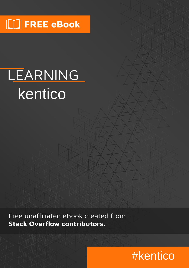## $\Box$  FREE eBook

# LEARNING kentico

Free unaffiliated eBook created from **Stack Overflow contributors.** 

## #kentico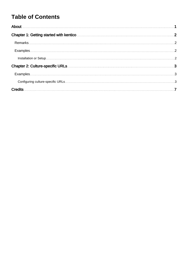### **Table of Contents**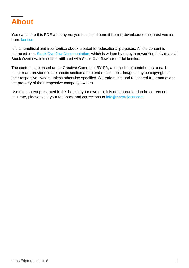<span id="page-2-0"></span>

You can share this PDF with anyone you feel could benefit from it, downloaded the latest version from: [kentico](http://riptutorial.com/ebook/kentico)

It is an unofficial and free kentico ebook created for educational purposes. All the content is extracted from [Stack Overflow Documentation,](https://archive.org/details/documentation-dump.7z) which is written by many hardworking individuals at Stack Overflow. It is neither affiliated with Stack Overflow nor official kentico.

The content is released under Creative Commons BY-SA, and the list of contributors to each chapter are provided in the credits section at the end of this book. Images may be copyright of their respective owners unless otherwise specified. All trademarks and registered trademarks are the property of their respective company owners.

Use the content presented in this book at your own risk; it is not guaranteed to be correct nor accurate, please send your feedback and corrections to [info@zzzprojects.com](mailto:info@zzzprojects.com)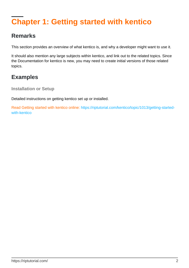## <span id="page-3-0"></span>**Chapter 1: Getting started with kentico**

#### <span id="page-3-1"></span>**Remarks**

This section provides an overview of what kentico is, and why a developer might want to use it.

It should also mention any large subjects within kentico, and link out to the related topics. Since the Documentation for kentico is new, you may need to create initial versions of those related topics.

#### <span id="page-3-2"></span>**Examples**

<span id="page-3-3"></span>**Installation or Setup**

Detailed instructions on getting kentico set up or installed.

Read Getting started with kentico online: [https://riptutorial.com/kentico/topic/1013/getting-started](https://riptutorial.com/kentico/topic/1013/getting-started-with-kentico)[with-kentico](https://riptutorial.com/kentico/topic/1013/getting-started-with-kentico)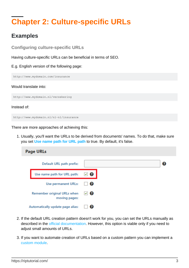## <span id="page-4-0"></span>**Chapter 2: Culture-specific URLs**

#### <span id="page-4-1"></span>**Examples**

<span id="page-4-2"></span>**Configuring culture-specific URLs**

Having culture-specific URLs can be beneficial in terms of SEO.

E.g. English version of the following page:

http://www.mydomain.com/insurance

#### Would translate into:

http://www.mydomain.nl/verzekering

Instead of:

http://www.mydomain.nl/nl-nl/insurance

There are more approaches of achieving this:

1. Usually, you'll want the URLs to be derived from documents' names. To do that, make sure you set **[Use name path for URL path](https://docs.kentico.com/display/K9/Settings+-+URLs+and+SEO)** to true. By default, it's false.



- 2. If the default URL creation pattern doesn't work for you, you can set the URLs manually as described in the [official documentation](https://docs.kentico.com/display/K9/Configuring+URLs+for+multilingual+websites#ConfiguringURLsformultilingualwebsites-UsingacustompageURLpathfordifferentcultureversions). However, this option is viable only if you need to adjust small amounts of URLs.
- 3. If you want to automate creation of URLs based on a custom pattern you can implement a [custom module](https://docs.kentico.com/display/K9/Creating+custom+modules).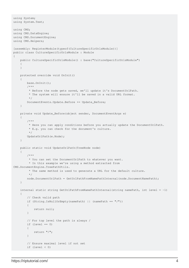```
using System;
using System.Text;
using CMS;
using CMS.DataEngine;
using CMS.DocumentEngine;
using CMS.Helpers;
[assembly: RegisterModule(typeof(CultureSpecificUrlsModule))]
public class CultureSpecificUrlsModule : Module
{
     public CultureSpecificUrlsModule() : base("CultureSpecificUrlsModule")
     {
     }
     protected override void OnInit()
     {
         base.OnInit();
         /***
          * Before the node gets saved, we'll update it's DocumentUrlPath.
          * The system will ensure it'll be saved in a valid URL format.
          */
         DocumentEvents.Update.Before += Update_Before;
     }
     private void Update_Before(object sender, DocumentEventArgs e)
\left\{\begin{array}{ccc} \end{array}\right\} /***
          * Here you can apply conditions before you actually update the DocumentUrlPath.
          * E.g. you can check for the document's culture.
          */
         UpdateUrlPath(e.Node);
     }
     public static void UpdateUrlPath(TreeNode node)
     {
         /***
          * You can set the DocumentUrlPath to whatever you want.
          * In this example we're using a method extracted from
CMS.DocumentEngine.TreePathUtils.
          * The same method is used to generate a URL for the default culture.
          */
        node.DocumentUrlPath = GetUrlPathFromNamePathInternal(node.DocumentNamePath);
     }
    internal static string GetUrlPathFromNamePathInternal(string namePath, int level = -1)
     {
         // Check valid path
         if (String.IsNullOrEmpty(namePath) || (namePath == "/"))
         {
             return null;
         }
         // For top level the path is always /
        if (level == 0)
         {
             return "/";
         }
         // Ensure maximal level if not set
         if (level < 0)
```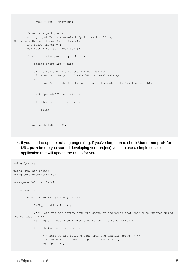```
\left\{ \begin{array}{cc} 0 & 0 \\ 0 & 0 \end{array} \right\} level = Int32.MaxValue;
                   }
                   // Get the path parts
                  string[] pathParts = namePath. Split(new[] \{ ' / ' \},
StringSplitOptions.RemoveEmptyEntries);
                   int currentLevel = 1;
                  var path = new StringBuilder();
                   foreach (string part in pathParts)
\left\{ \begin{array}{cc} 0 & 0 \\ 0 & 0 \end{array} \right\}string shortPart = part;
                            // Shorten the part to the allowed maximum
                            if (shortPart.Length > TreePathUtils.MaxAliasLength)
\left\{ \begin{array}{cc} 0 & 0 & 0 \\ 0 & 0 & 0 \\ 0 & 0 & 0 \\ 0 & 0 & 0 \\ 0 & 0 & 0 \\ 0 & 0 & 0 \\ 0 & 0 & 0 \\ 0 & 0 & 0 \\ 0 & 0 & 0 \\ 0 & 0 & 0 \\ 0 & 0 & 0 \\ 0 & 0 & 0 & 0 \\ 0 & 0 & 0 & 0 \\ 0 & 0 & 0 & 0 \\ 0 & 0 & 0 & 0 & 0 \\ 0 & 0 & 0 & 0 & 0 \\ 0 & 0 & 0 & 0 & 0 \\ 0 & 0 & 0 & 0 & 0 & 0 \\ 0 & 0 & 0 & 0shortPart = shortPart.Substring(0, TreePathUtils.MaxAliasLength);
 }
                            path.Append("/", shortPart);
                           if (++currentLevel > level)
\left\{ \begin{array}{cc} 0 & 0 & 0 \\ 0 & 0 & 0 \\ 0 & 0 & 0 \\ 0 & 0 & 0 \\ 0 & 0 & 0 \\ 0 & 0 & 0 \\ 0 & 0 & 0 \\ 0 & 0 & 0 \\ 0 & 0 & 0 \\ 0 & 0 & 0 \\ 0 & 0 & 0 \\ 0 & 0 & 0 & 0 \\ 0 & 0 & 0 & 0 \\ 0 & 0 & 0 & 0 \\ 0 & 0 & 0 & 0 & 0 \\ 0 & 0 & 0 & 0 & 0 \\ 0 & 0 & 0 & 0 & 0 \\ 0 & 0 & 0 & 0 & 0 & 0 \\ 0 & 0 & 0 & 0 break;
 }
                   }
                  return path.ToString();
         }
}
```
4. If you need to update existing pages (e.g. if you've forgotten to check Use name path for **URL path** before you started developing your project) you can use a simple console application that will update the URLs for you:

```
using System;
using CMS.DataEngine;
using CMS.DocumentEngine;
namespace CultureUrlsUtil
{
       class Program
       {
              static void Main(string[] args)
              {
                    CMSApplication.Init();
                    /*** Here you can narrow down the scope of documents that should be updated using
DocumentQuery ***/
                    var pages = DocumentHelper.GetDocuments().Culture("es-es");
                    foreach (var page in pages)
\left\{ \begin{array}{cc} 0 & 0 & 0 \\ 0 & 0 & 0 \\ 0 & 0 & 0 \\ 0 & 0 & 0 \\ 0 & 0 & 0 \\ 0 & 0 & 0 \\ 0 & 0 & 0 \\ 0 & 0 & 0 \\ 0 & 0 & 0 \\ 0 & 0 & 0 \\ 0 & 0 & 0 \\ 0 & 0 & 0 & 0 \\ 0 & 0 & 0 & 0 \\ 0 & 0 & 0 & 0 \\ 0 & 0 & 0 & 0 & 0 \\ 0 & 0 & 0 & 0 & 0 \\ 0 & 0 & 0 & 0 & 0 \\ 0 & 0 & 0 & 0 & 0 \\ 0 & 0 & 0 & 0 & 0 /*** Here we are calling code from the example above. ***/
                           CultureSpecificUrlsModule.UpdateUrlPath(page);
                           page.Update();
 }
```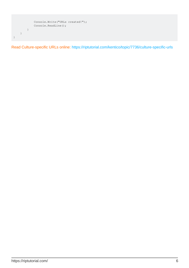

Read Culture-specific URLs online:<https://riptutorial.com/kentico/topic/7736/culture-specific-urls>